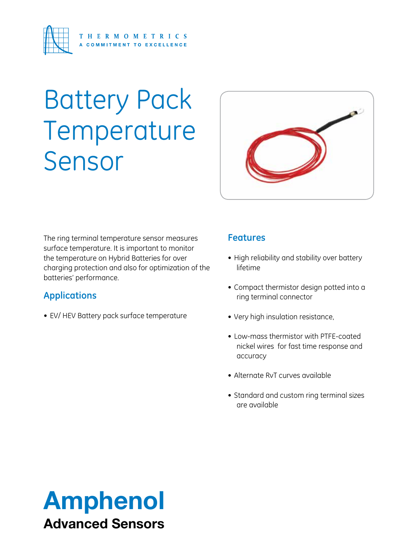

# Battery Pack Temperature Sensor



The ring terminal temperature sensor measures surface temperature. It is important to monitor the temperature on Hybrid Batteries for over charging protection and also for optimization of the batteries' performance.

### **Applications**

• EV/ HEV Battery pack surface temperature

### **Features**

- High reliability and stability over battery lifetime
- • Compact thermistor design potted into a ring terminal connector
- Very high insulation resistance,
- Low-mass thermistor with PTFE-coated nickel wires for fast time response and accuracy
- Alternate RvT curves available
- Standard and custom ring terminal sizes are available

## Amphenol Advanced Sensors